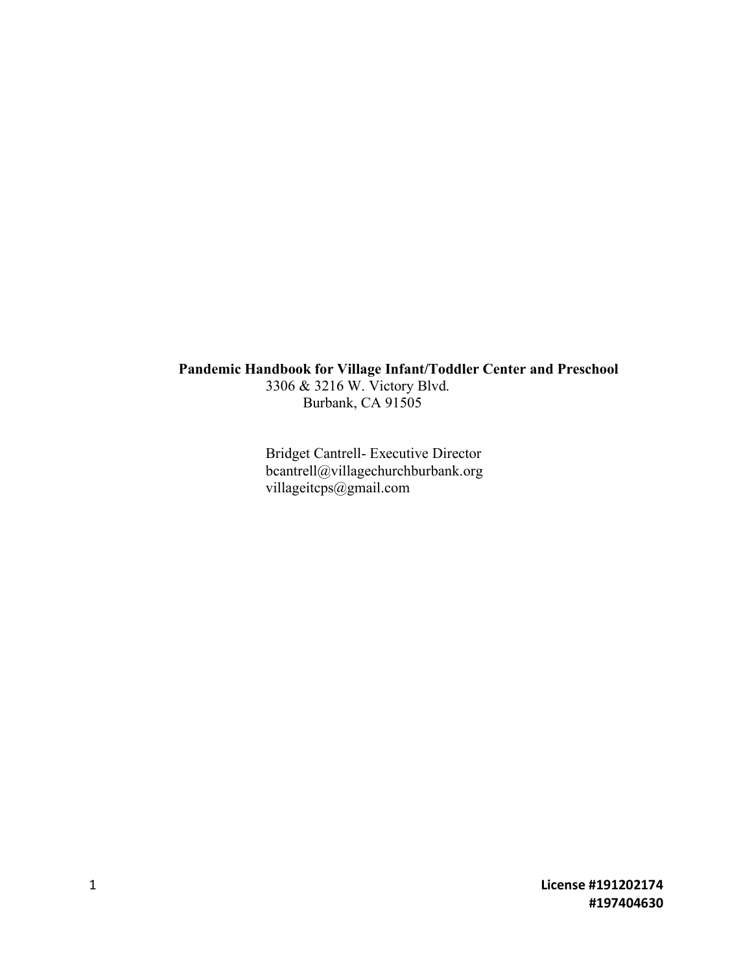# **Pandemic Handbook for Village Infant/Toddler Center and Preschool**

3306 & 3216 W. Victory Blvd. Burbank, CA 91505

Bridget Cantrell- Executive Director bcantrell@villagechurchburbank.org villageitcps@gmail.com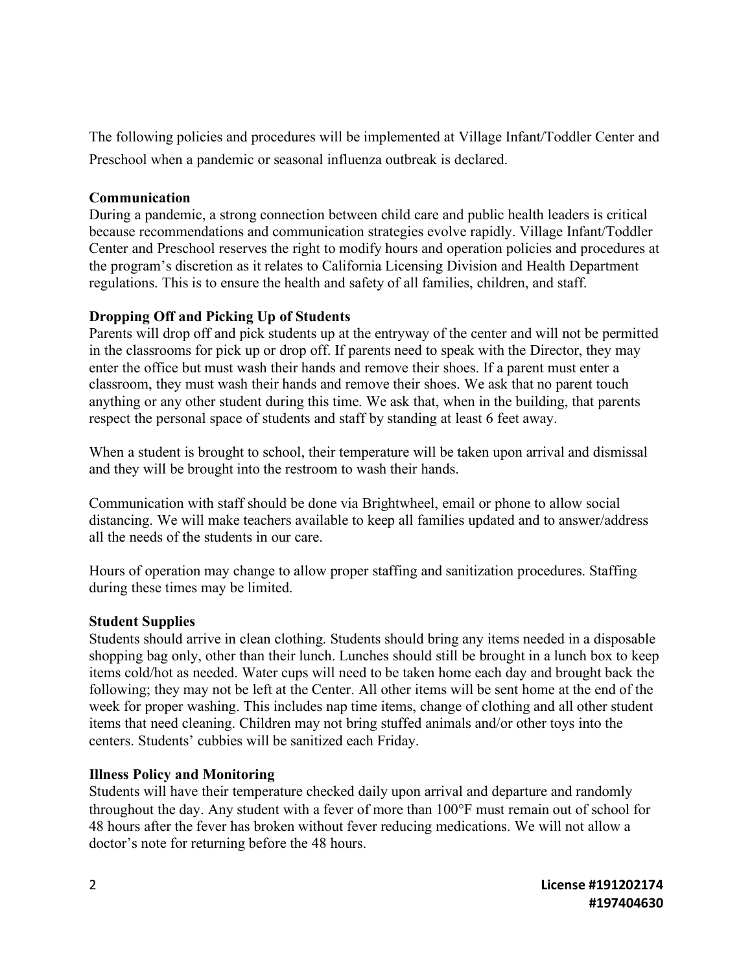The following policies and procedures will be implemented at Village Infant/Toddler Center and Preschool when a pandemic or seasonal influenza outbreak is declared.

### **Communication**

During a pandemic, a strong connection between child care and public health leaders is critical because recommendations and communication strategies evolve rapidly. Village Infant/Toddler Center and Preschool reserves the right to modify hours and operation policies and procedures at the program's discretion as it relates to California Licensing Division and Health Department regulations. This is to ensure the health and safety of all families, children, and staff.

## **Dropping Off and Picking Up of Students**

Parents will drop off and pick students up at the entryway of the center and will not be permitted in the classrooms for pick up or drop off. If parents need to speak with the Director, they may enter the office but must wash their hands and remove their shoes. If a parent must enter a classroom, they must wash their hands and remove their shoes. We ask that no parent touch anything or any other student during this time. We ask that, when in the building, that parents respect the personal space of students and staff by standing at least 6 feet away.

When a student is brought to school, their temperature will be taken upon arrival and dismissal and they will be brought into the restroom to wash their hands.

Communication with staff should be done via Brightwheel, email or phone to allow social distancing. We will make teachers available to keep all families updated and to answer/address all the needs of the students in our care.

Hours of operation may change to allow proper staffing and sanitization procedures. Staffing during these times may be limited.

## **Student Supplies**

Students should arrive in clean clothing. Students should bring any items needed in a disposable shopping bag only, other than their lunch. Lunches should still be brought in a lunch box to keep items cold/hot as needed. Water cups will need to be taken home each day and brought back the following; they may not be left at the Center. All other items will be sent home at the end of the week for proper washing. This includes nap time items, change of clothing and all other student items that need cleaning. Children may not bring stuffed animals and/or other toys into the centers. Students' cubbies will be sanitized each Friday.

## **Illness Policy and Monitoring**

Students will have their temperature checked daily upon arrival and departure and randomly throughout the day. Any student with a fever of more than 100°F must remain out of school for 48 hours after the fever has broken without fever reducing medications. We will not allow a doctor's note for returning before the 48 hours.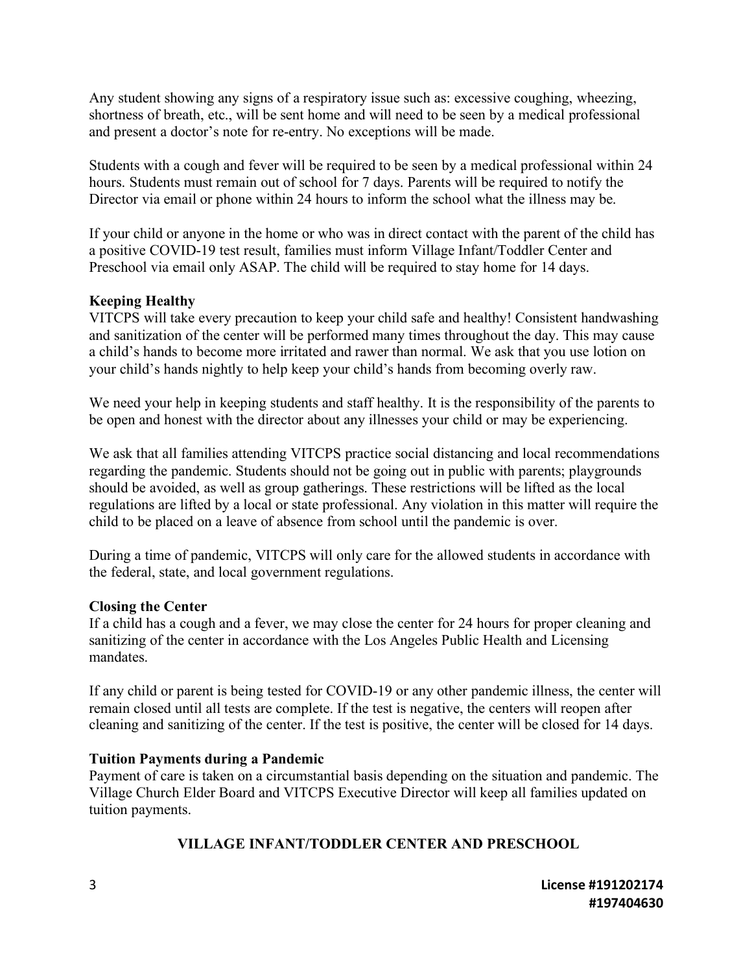Any student showing any signs of a respiratory issue such as: excessive coughing, wheezing, shortness of breath, etc., will be sent home and will need to be seen by a medical professional and present a doctor's note for re-entry. No exceptions will be made.

Students with a cough and fever will be required to be seen by a medical professional within 24 hours. Students must remain out of school for 7 days. Parents will be required to notify the Director via email or phone within 24 hours to inform the school what the illness may be.

If your child or anyone in the home or who was in direct contact with the parent of the child has a positive COVID-19 test result, families must inform Village Infant/Toddler Center and Preschool via email only ASAP. The child will be required to stay home for 14 days.

### **Keeping Healthy**

VITCPS will take every precaution to keep your child safe and healthy! Consistent handwashing and sanitization of the center will be performed many times throughout the day. This may cause a child's hands to become more irritated and rawer than normal. We ask that you use lotion on your child's hands nightly to help keep your child's hands from becoming overly raw.

We need your help in keeping students and staff healthy. It is the responsibility of the parents to be open and honest with the director about any illnesses your child or may be experiencing.

We ask that all families attending VITCPS practice social distancing and local recommendations regarding the pandemic. Students should not be going out in public with parents; playgrounds should be avoided, as well as group gatherings. These restrictions will be lifted as the local regulations are lifted by a local or state professional. Any violation in this matter will require the child to be placed on a leave of absence from school until the pandemic is over.

During a time of pandemic, VITCPS will only care for the allowed students in accordance with the federal, state, and local government regulations.

### **Closing the Center**

If a child has a cough and a fever, we may close the center for 24 hours for proper cleaning and sanitizing of the center in accordance with the Los Angeles Public Health and Licensing mandates.

If any child or parent is being tested for COVID-19 or any other pandemic illness, the center will remain closed until all tests are complete. If the test is negative, the centers will reopen after cleaning and sanitizing of the center. If the test is positive, the center will be closed for 14 days.

### **Tuition Payments during a Pandemic**

Payment of care is taken on a circumstantial basis depending on the situation and pandemic. The Village Church Elder Board and VITCPS Executive Director will keep all families updated on tuition payments.

### **VILLAGE INFANT/TODDLER CENTER AND PRESCHOOL**